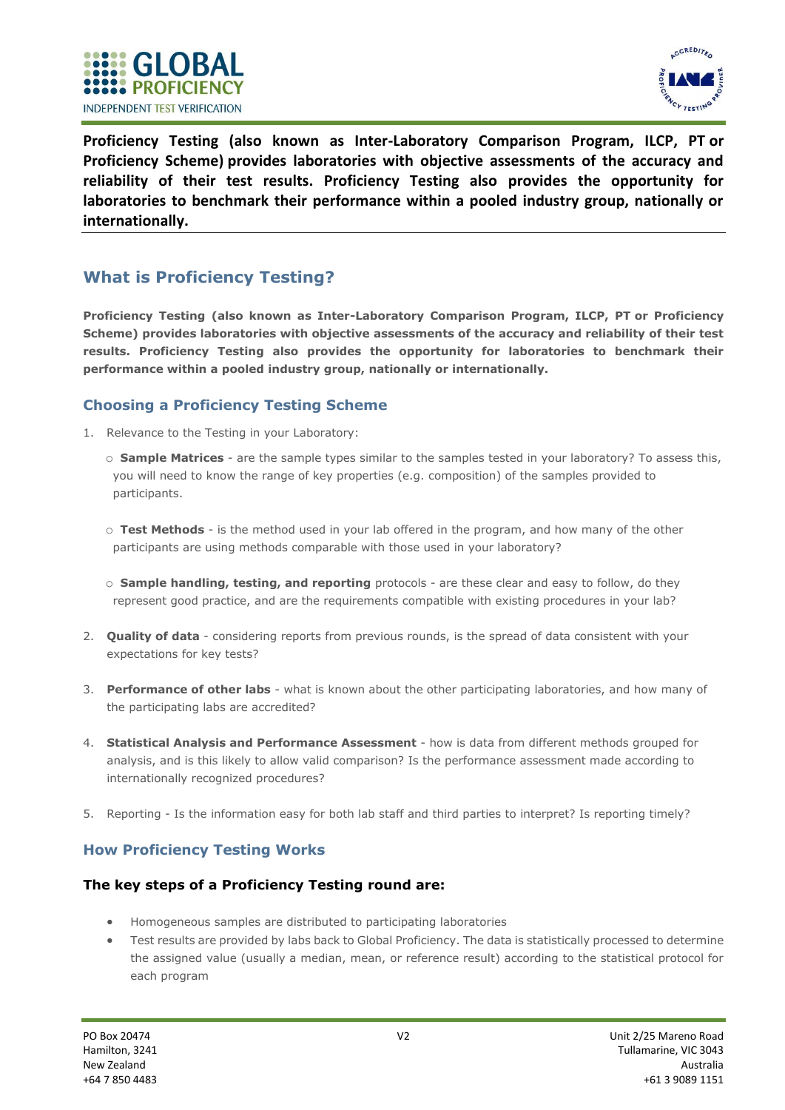



**Proficiency Testing (also known as Inter-Laboratory Comparison Program, ILCP, PT or Proficiency Scheme) provides laboratories with objective assessments of the accuracy and reliability of their test results. Proficiency Testing also provides the opportunity for laboratories to benchmark their performance within a pooled industry group, nationally or internationally.**

# **What is Proficiency Testing?**

**Proficiency Testing (also known as Inter-Laboratory Comparison Program, ILCP, PT or Proficiency Scheme) provides laboratories with objective assessments of the accuracy and reliability of their test results. Proficiency Testing also provides the opportunity for laboratories to benchmark their performance within a pooled industry group, nationally or internationally.**

### **Choosing a Proficiency Testing Scheme**

- 1. Relevance to the Testing in your Laboratory:
	- o **Sample Matrices** are the sample types similar to the samples tested in your laboratory? To assess this, you will need to know the range of key properties (e.g. composition) of the samples provided to participants.
	- o **Test Methods** is the method used in your lab offered in the program, and how many of the other participants are using methods comparable with those used in your laboratory?
	- o **Sample handling, testing, and reporting** protocols are these clear and easy to follow, do they represent good practice, and are the requirements compatible with existing procedures in your lab?
- 2. **Quality of data** considering reports from previous rounds, is the spread of data consistent with your expectations for key tests?
- 3. **Performance of other labs** what is known about the other participating laboratories, and how many of the participating labs are accredited?
- 4. **Statistical Analysis and Performance Assessment** how is data from different methods grouped for analysis, and is this likely to allow valid comparison? Is the performance assessment made according to internationally recognized procedures?
- 5. Reporting Is the information easy for both lab staff and third parties to interpret? Is reporting timely?

## **How Proficiency Testing Works**

### **The key steps of a Proficiency Testing round are:**

- Homogeneous samples are distributed to participating laboratories
- Test results are provided by labs back to Global Proficiency. The data is statistically processed to determine the assigned value (usually a median, mean, or reference result) according to the statistical protocol for each program